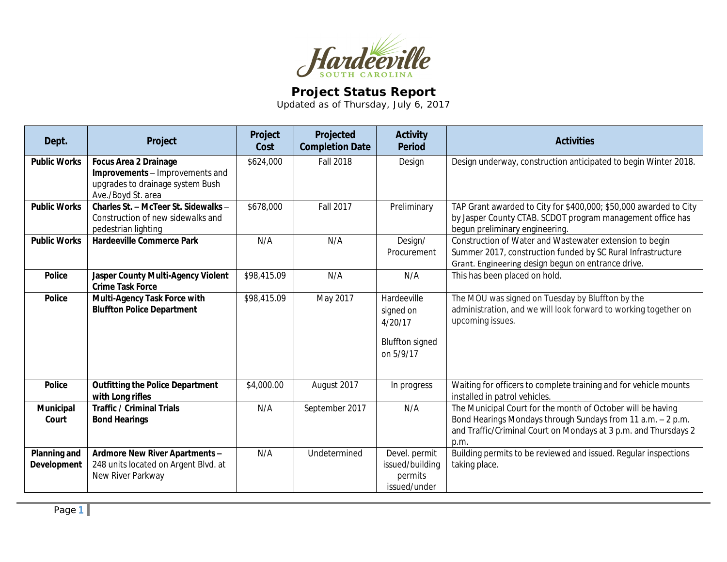

## **Project Status Report**

Updated as of Thursday, July 6, 2017

| Dept.                              | Project                                                                                                                   | Project<br>Cost | Projected<br><b>Completion Date</b> | <b>Activity</b><br><b>Period</b>                                           | <b>Activities</b>                                                                                                                                                                                     |
|------------------------------------|---------------------------------------------------------------------------------------------------------------------------|-----------------|-------------------------------------|----------------------------------------------------------------------------|-------------------------------------------------------------------------------------------------------------------------------------------------------------------------------------------------------|
| <b>Public Works</b>                | <b>Focus Area 2 Drainage</b><br>Improvements - Improvements and<br>upgrades to drainage system Bush<br>Ave./Boyd St. area | \$624,000       | <b>Fall 2018</b>                    | Design                                                                     | Design underway, construction anticipated to begin Winter 2018.                                                                                                                                       |
| <b>Public Works</b>                | Charles St. - McTeer St. Sidewalks -<br>Construction of new sidewalks and<br>pedestrian lighting                          | \$678,000       | Fall 2017                           | Preliminary                                                                | TAP Grant awarded to City for \$400,000; \$50,000 awarded to City<br>by Jasper County CTAB. SCDOT program management office has<br>begun preliminary engineering.                                     |
| <b>Public Works</b>                | <b>Hardeeville Commerce Park</b>                                                                                          | N/A             | N/A                                 | Design/<br>Procurement                                                     | Construction of Water and Wastewater extension to begin<br>Summer 2017, construction funded by SC Rural Infrastructure<br>Grant. Engineering design begun on entrance drive.                          |
| <b>Police</b>                      | Jasper County Multi-Agency Violent<br><b>Crime Task Force</b>                                                             | \$98,415.09     | N/A                                 | N/A                                                                        | This has been placed on hold.                                                                                                                                                                         |
| <b>Police</b>                      | Multi-Agency Task Force with<br><b>Bluffton Police Department</b>                                                         | \$98,415.09     | May 2017                            | Hardeeville<br>signed on<br>4/20/17<br><b>Bluffton signed</b><br>on 5/9/17 | The MOU was signed on Tuesday by Bluffton by the<br>administration, and we will look forward to working together on<br>upcoming issues.                                                               |
| <b>Police</b>                      | <b>Outfitting the Police Department</b><br>with Long rifles                                                               | \$4,000.00      | August 2017                         | In progress                                                                | Waiting for officers to complete training and for vehicle mounts<br>installed in patrol vehicles.                                                                                                     |
| Municipal<br>Court                 | <b>Traffic / Criminal Trials</b><br><b>Bond Hearings</b>                                                                  | N/A             | September 2017                      | N/A                                                                        | The Municipal Court for the month of October will be having<br>Bond Hearings Mondays through Sundays from 11 a.m. - 2 p.m.<br>and Traffic/Criminal Court on Mondays at 3 p.m. and Thursdays 2<br>p.m. |
| <b>Planning and</b><br>Development | Ardmore New River Apartments -<br>248 units located on Argent Blvd. at<br>New River Parkway                               | N/A             | Undetermined                        | Devel. permit<br>issued/building<br>permits<br>issued/under                | Building permits to be reviewed and issued. Regular inspections<br>taking place.                                                                                                                      |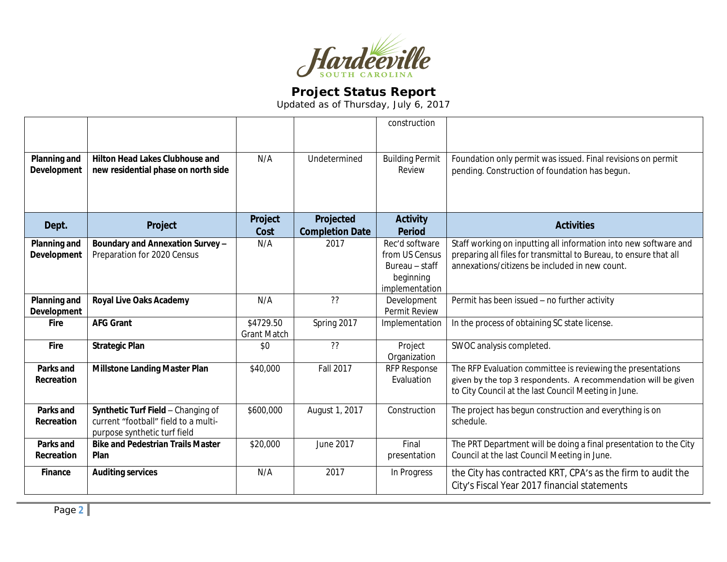

## **Project Status Report**

Updated as of Thursday, July 6, 2017

|                                           |                                                                                                            |                                 |                        | construction                                          |                                                                                                                                                                                       |
|-------------------------------------------|------------------------------------------------------------------------------------------------------------|---------------------------------|------------------------|-------------------------------------------------------|---------------------------------------------------------------------------------------------------------------------------------------------------------------------------------------|
|                                           |                                                                                                            |                                 |                        |                                                       |                                                                                                                                                                                       |
| <b>Planning and</b><br><b>Development</b> | <b>Hilton Head Lakes Clubhouse and</b><br>new residential phase on north side                              | N/A                             | Undetermined           | <b>Building Permit</b><br>Review                      | Foundation only permit was issued. Final revisions on permit<br>pending. Construction of foundation has begun.                                                                        |
| Dept.                                     | Project                                                                                                    | Project                         | Projected              | <b>Activity</b>                                       | <b>Activities</b>                                                                                                                                                                     |
|                                           |                                                                                                            | Cost                            | <b>Completion Date</b> | <b>Period</b>                                         |                                                                                                                                                                                       |
| <b>Planning and</b><br>Development        | Boundary and Annexation Survey -<br>Preparation for 2020 Census                                            | N/A                             | 2017                   | Rec'd software<br>from US Census                      | Staff working on inputting all information into new software and<br>preparing all files for transmittal to Bureau, to ensure that all                                                 |
|                                           |                                                                                                            |                                 |                        | Bureau – staff<br>beginning                           | annexations/citizens be included in new count.                                                                                                                                        |
| <b>Planning and</b><br><b>Development</b> | <b>Royal Live Oaks Academy</b>                                                                             | N/A                             | ??                     | implementation<br>Development<br><b>Permit Review</b> | Permit has been issued - no further activity                                                                                                                                          |
| Fire                                      | <b>AFG Grant</b>                                                                                           | \$4729.50<br><b>Grant Match</b> | Spring 2017            | Implementation                                        | In the process of obtaining SC state license.                                                                                                                                         |
| Fire                                      | <b>Strategic Plan</b>                                                                                      | \$0                             | ??                     | Project<br>Organization                               | SWOC analysis completed.                                                                                                                                                              |
| Parks and<br>Recreation                   | <b>Millstone Landing Master Plan</b>                                                                       | \$40,000                        | <b>Fall 2017</b>       | <b>RFP Response</b><br>Evaluation                     | The RFP Evaluation committee is reviewing the presentations<br>given by the top 3 respondents. A recommendation will be given<br>to City Council at the last Council Meeting in June. |
| <b>Parks and</b><br>Recreation            | Synthetic Turf Field - Changing of<br>current "football" field to a multi-<br>purpose synthetic turf field | \$600,000                       | August 1, 2017         | Construction                                          | The project has begun construction and everything is on<br>schedule.                                                                                                                  |
| Parks and<br>Recreation                   | <b>Bike and Pedestrian Trails Master</b><br>Plan                                                           | \$20,000                        | June 2017              | Final<br>presentation                                 | The PRT Department will be doing a final presentation to the City<br>Council at the last Council Meeting in June.                                                                     |
| Finance                                   | <b>Auditing services</b>                                                                                   | N/A                             | 2017                   | In Progress                                           | the City has contracted KRT, CPA's as the firm to audit the<br>City's Fiscal Year 2017 financial statements                                                                           |